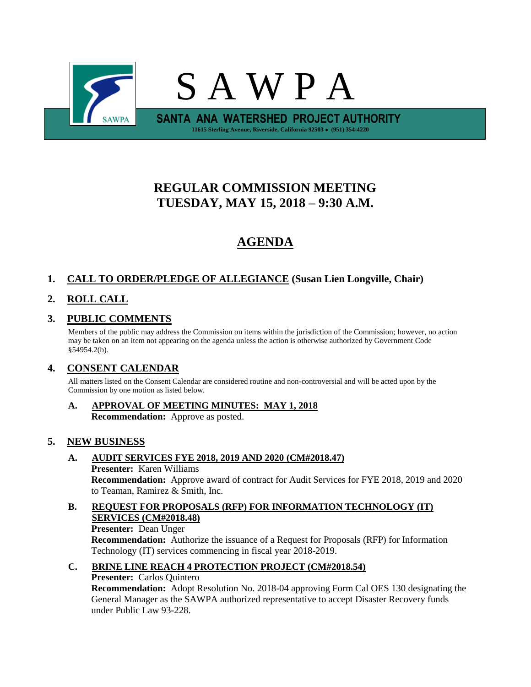

# **REGULAR COMMISSION MEETING TUESDAY, MAY 15, 2018 – 9:30 A.M.**

# **AGENDA**

## **1. CALL TO ORDER/PLEDGE OF ALLEGIANCE (Susan Lien Longville, Chair)**

## **2. ROLL CALL**

### **3. PUBLIC COMMENTS**

Members of the public may address the Commission on items within the jurisdiction of the Commission; however, no action may be taken on an item not appearing on the agenda unless the action is otherwise authorized by Government Code §54954.2(b).

### **4. CONSENT CALENDAR**

All matters listed on the Consent Calendar are considered routine and non-controversial and will be acted upon by the Commission by one motion as listed below.

**A. APPROVAL OF MEETING MINUTES: MAY 1, 2018 Recommendation:** Approve as posted.

### **5. NEW BUSINESS**

# **A. AUDIT SERVICES FYE 2018, 2019 AND 2020 (CM#2018.47) Presenter:** Karen Williams

**Recommendation:** Approve award of contract for Audit Services for FYE 2018, 2019 and 2020 to Teaman, Ramirez & Smith, Inc.

**B. REQUEST FOR PROPOSALS (RFP) FOR INFORMATION TECHNOLOGY (IT) SERVICES (CM#2018.48) Presenter:** Dean Unger

**Recommendation:** Authorize the issuance of a Request for Proposals (RFP) for Information Technology (IT) services commencing in fiscal year 2018-2019.

#### **C. BRINE LINE REACH 4 PROTECTION PROJECT (CM#2018.54) Presenter:** Carlos Quintero

**Recommendation:** Adopt Resolution No. 2018-04 approving Form Cal OES 130 designating the General Manager as the SAWPA authorized representative to accept Disaster Recovery funds under Public Law 93-228.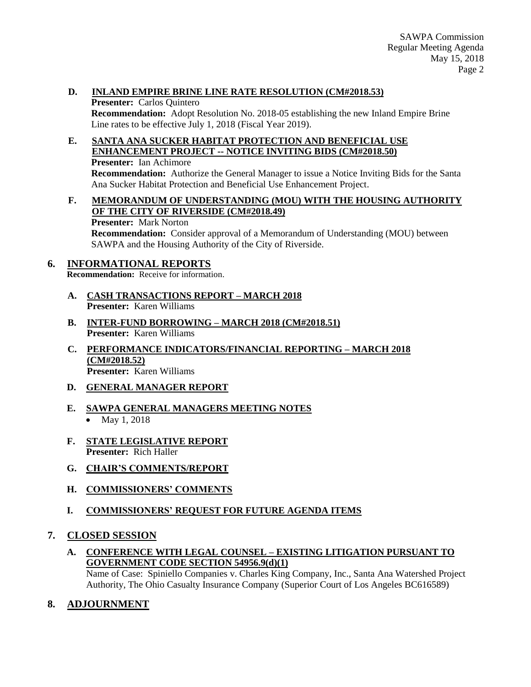### **D. INLAND EMPIRE BRINE LINE RATE RESOLUTION (CM#2018.53)**

**Presenter:** Carlos Quintero **Recommendation:** Adopt Resolution No. 2018-05 establishing the new Inland Empire Brine Line rates to be effective July 1, 2018 (Fiscal Year 2019).

**E. SANTA ANA SUCKER HABITAT PROTECTION AND BENEFICIAL USE ENHANCEMENT PROJECT -- NOTICE INVITING BIDS (CM#2018.50) Presenter:** Ian Achimore

**Recommendation:** Authorize the General Manager to issue a Notice Inviting Bids for the Santa Ana Sucker Habitat Protection and Beneficial Use Enhancement Project.

## **F. MEMORANDUM OF UNDERSTANDING (MOU) WITH THE HOUSING AUTHORITY OF THE CITY OF RIVERSIDE (CM#2018.49)**

**Presenter:** Mark Norton

**Recommendation:** Consider approval of a Memorandum of Understanding (MOU) between SAWPA and the Housing Authority of the City of Riverside.

### **6. INFORMATIONAL REPORTS**

**Recommendation:** Receive for information.

- **A. CASH TRANSACTIONS REPORT – MARCH 2018 Presenter:** Karen Williams
- **B. INTER-FUND BORROWING – MARCH 2018 (CM#2018.51) Presenter:** Karen Williams
- **C. PERFORMANCE INDICATORS/FINANCIAL REPORTING – MARCH 2018 (CM#2018.52) Presenter:** Karen Williams
- **D. GENERAL MANAGER REPORT**
- **E. SAWPA GENERAL MANAGERS MEETING NOTES** • May 1, 2018
- **F. STATE LEGISLATIVE REPORT Presenter:** Rich Haller
- **G. CHAIR'S COMMENTS/REPORT**
- **H. COMMISSIONERS' COMMENTS**
- **I. COMMISSIONERS' REQUEST FOR FUTURE AGENDA ITEMS**
- **7. CLOSED SESSION**
	- **A. CONFERENCE WITH LEGAL COUNSEL – EXISTING LITIGATION PURSUANT TO GOVERNMENT CODE SECTION 54956.9(d)(1)** Name of Case: Spiniello Companies v. Charles King Company, Inc., Santa Ana Watershed Project Authority, The Ohio Casualty Insurance Company (Superior Court of Los Angeles BC616589)
- **8. ADJOURNMENT**